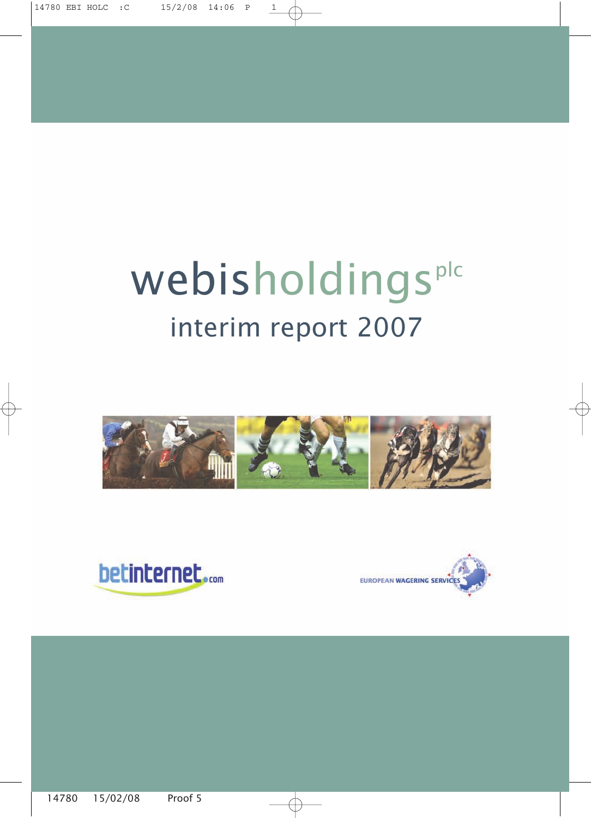# webisholdings<sup>plc</sup> interim report 2007





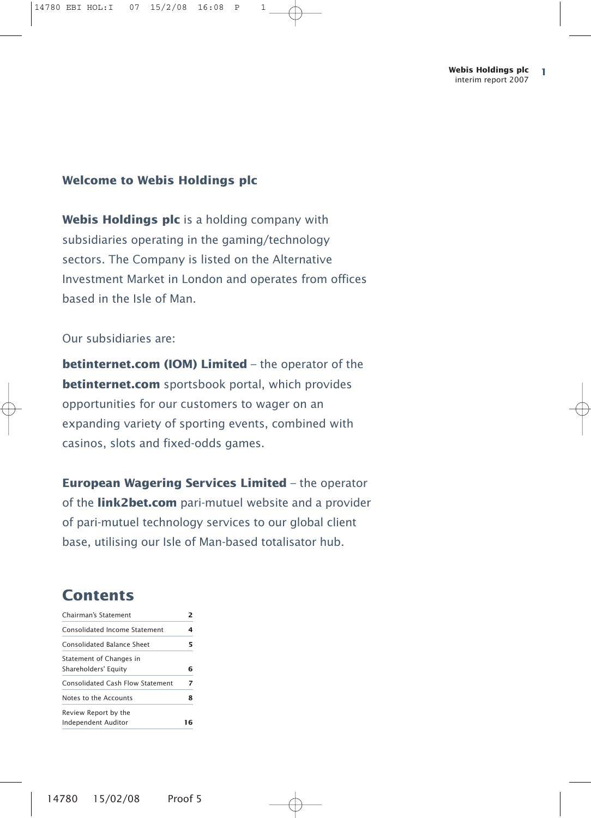# **Welcome to Webis Holdings plc**

**Webis Holdings plc** is a holding company with subsidiaries operating in the gaming/technology sectors. The Company is listed on the Alternative Investment Market in London and operates from offices based in the Isle of Man.

# Our subsidiaries are:

**betinternet.com (IOM) Limited** – the operator of the **betinternet.com** sportsbook portal, which provides opportunities for our customers to wager on an expanding variety of sporting events, combined with casinos, slots and fixed-odds games.

**European Wagering Services Limited** – the operator of the **link2bet.com** pari-mutuel website and a provider of pari-mutuel technology services to our global client base, utilising our Isle of Man-based totalisator hub.

# **Contents**

| Chairman's Statement                            | 2  |
|-------------------------------------------------|----|
| Consolidated Income Statement                   | 4  |
| Consolidated Balance Sheet                      | 5  |
| Statement of Changes in<br>Shareholders' Equity | 6  |
| <b>Consolidated Cash Flow Statement</b>         | 7  |
| Notes to the Accounts                           | 8  |
| Review Report by the<br>Independent Auditor     | 16 |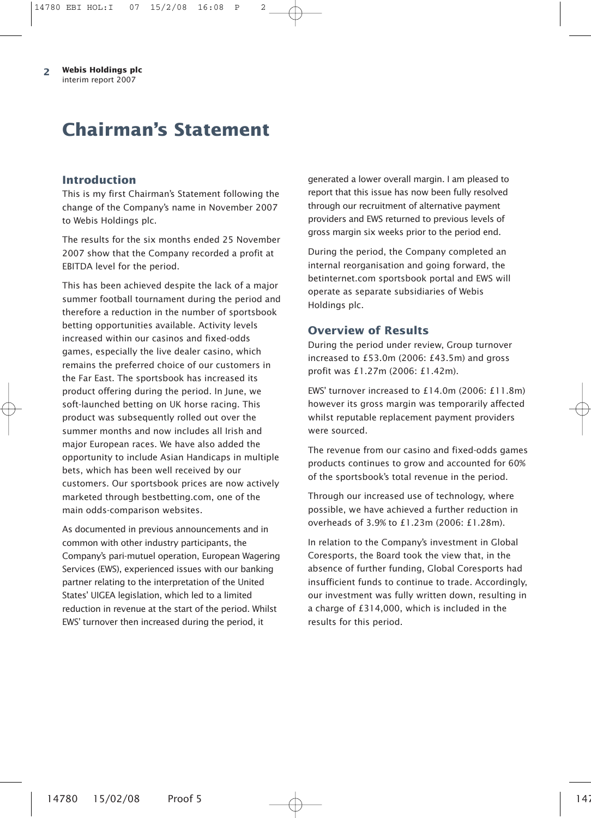# **Chairman's Statement**

### **Introduction**

This is my first Chairman's Statement following the change of the Company's name in November 2007 to Webis Holdings plc.

The results for the six months ended 25 November 2007 show that the Company recorded a profit at EBITDA level for the period.

This has been achieved despite the lack of a major summer football tournament during the period and therefore a reduction in the number of sportsbook betting opportunities available. Activity levels increased within our casinos and fixed-odds games, especially the live dealer casino, which remains the preferred choice of our customers in the Far East. The sportsbook has increased its product offering during the period. In June, we soft-launched betting on UK horse racing. This product was subsequently rolled out over the summer months and now includes all Irish and major European races. We have also added the opportunity to include Asian Handicaps in multiple bets, which has been well received by our customers. Our sportsbook prices are now actively marketed through bestbetting.com, one of the main odds-comparison websites.

As documented in previous announcements and in common with other industry participants, the Company's pari-mutuel operation, European Wagering Services (EWS), experienced issues with our banking partner relating to the interpretation of the United States' UIGEA legislation, which led to a limited reduction in revenue at the start of the period. Whilst EWS' turnover then increased during the period, it

generated a lower overall margin. I am pleased to report that this issue has now been fully resolved through our recruitment of alternative payment providers and EWS returned to previous levels of gross margin six weeks prior to the period end.

During the period, the Company completed an internal reorganisation and going forward, the betinternet.com sportsbook portal and EWS will operate as separate subsidiaries of Webis Holdings plc.

## **Overview of Results**

During the period under review, Group turnover increased to £53.0m (2006: £43.5m) and gross profit was £1.27m (2006: £1.42m).

EWS' turnover increased to £14.0m (2006: £11.8m) however its gross margin was temporarily affected whilst reputable replacement payment providers were sourced.

The revenue from our casino and fixed-odds games products continues to grow and accounted for 60% of the sportsbook's total revenue in the period.

Through our increased use of technology, where possible, we have achieved a further reduction in overheads of 3.9% to £1.23m (2006: £1.28m).

In relation to the Company's investment in Global Coresports, the Board took the view that, in the absence of further funding, Global Coresports had insufficient funds to continue to trade. Accordingly, our investment was fully written down, resulting in a charge of £314,000, which is included in the results for this period.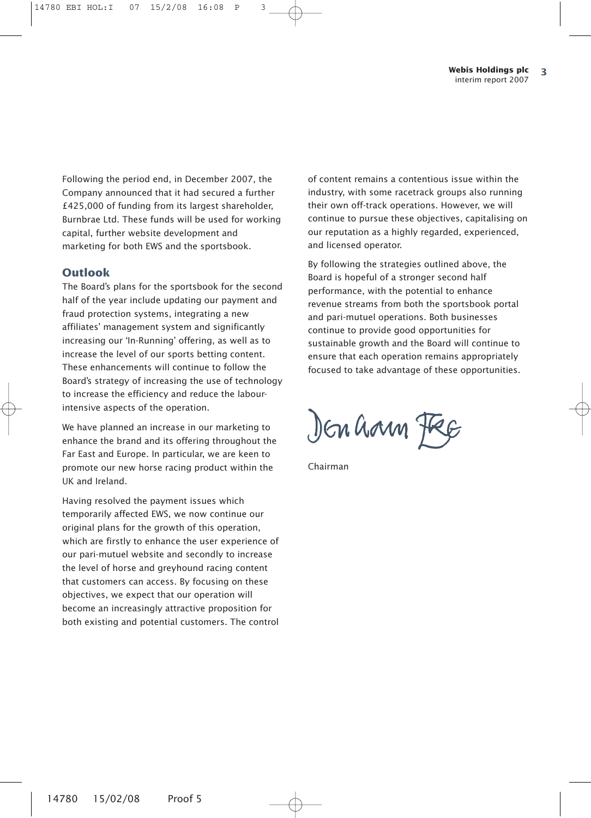Following the period end, in December 2007, the Company announced that it had secured a further £425,000 of funding from its largest shareholder, Burnbrae Ltd. These funds will be used for working capital, further website development and marketing for both EWS and the sportsbook.

### **Outlook**

The Board's plans for the sportsbook for the second half of the year include updating our payment and fraud protection systems, integrating a new affiliates' management system and significantly increasing our 'In-Running' offering, as well as to increase the level of our sports betting content. These enhancements will continue to follow the Board's strategy of increasing the use of technology to increase the efficiency and reduce the labourintensive aspects of the operation.

We have planned an increase in our marketing to enhance the brand and its offering throughout the Far East and Europe. In particular, we are keen to promote our new horse racing product within the UK and Ireland.

Having resolved the payment issues which temporarily affected EWS, we now continue our original plans for the growth of this operation, which are firstly to enhance the user experience of our pari-mutuel website and secondly to increase the level of horse and greyhound racing content that customers can access. By focusing on these objectives, we expect that our operation will become an increasingly attractive proposition for both existing and potential customers. The control of content remains a contentious issue within the industry, with some racetrack groups also running their own off-track operations. However, we will continue to pursue these objectives, capitalising on our reputation as a highly regarded, experienced, and licensed operator.

By following the strategies outlined above, the Board is hopeful of a stronger second half performance, with the potential to enhance revenue streams from both the sportsbook portal and pari-mutuel operations. Both businesses continue to provide good opportunities for sustainable growth and the Board will continue to ensure that each operation remains appropriately focused to take advantage of these opportunities.

Den ham Fre

Chairman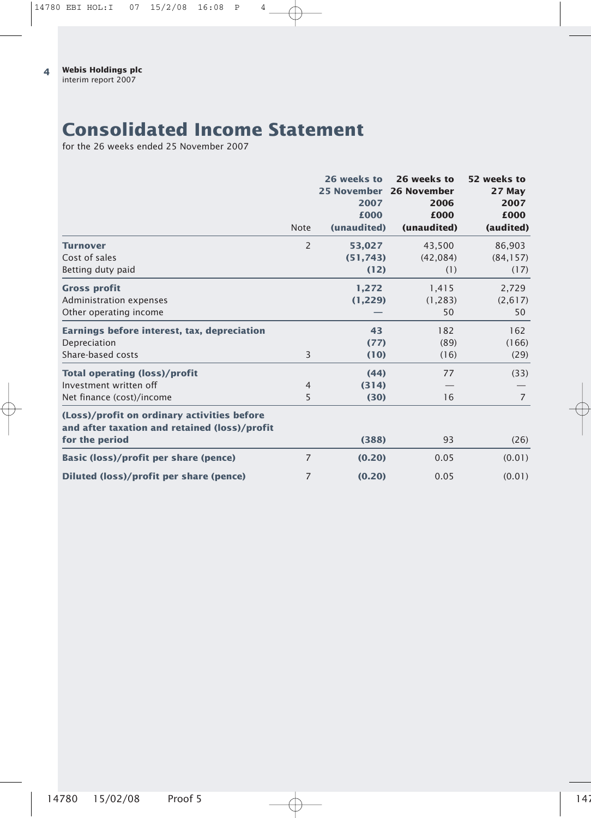# **Consolidated Income Statement**

for the 26 weeks ended 25 November 2007

|                                                                                              |                | 26 weeks to<br><b>25 November</b><br>2007<br>£000 | 26 weeks to<br><b>26 November</b><br>2006<br>£000 | 52 weeks to<br>27 May<br>2007<br>£000 |
|----------------------------------------------------------------------------------------------|----------------|---------------------------------------------------|---------------------------------------------------|---------------------------------------|
|                                                                                              | <b>Note</b>    | (unaudited)                                       | (unaudited)                                       | (audited)                             |
| <b>Turnover</b>                                                                              | $\overline{2}$ | 53,027                                            | 43,500                                            | 86,903                                |
| Cost of sales                                                                                |                | (51, 743)                                         | (42,084)                                          | (84, 157)                             |
| Betting duty paid                                                                            |                | (12)                                              | (1)                                               | (17)                                  |
| <b>Gross profit</b>                                                                          |                | 1,272                                             | 1,415                                             | 2,729                                 |
| Administration expenses                                                                      |                | (1,229)                                           | (1, 283)                                          | (2,617)                               |
| Other operating income                                                                       |                |                                                   | 50                                                | 50                                    |
| Earnings before interest, tax, depreciation                                                  |                | 43                                                | 182                                               | 162                                   |
| Depreciation                                                                                 |                | (77)                                              | (89)                                              | (166)                                 |
| Share-based costs                                                                            | 3              | (10)                                              | (16)                                              | (29)                                  |
| <b>Total operating (loss)/profit</b>                                                         |                | (44)                                              | 77                                                | (33)                                  |
| Investment written off                                                                       | $\overline{4}$ | (314)                                             |                                                   |                                       |
| Net finance (cost)/income                                                                    | 5              | (30)                                              | 16                                                | $\overline{7}$                        |
| (Loss)/profit on ordinary activities before<br>and after taxation and retained (loss)/profit |                |                                                   |                                                   |                                       |
| for the period                                                                               |                | (388)                                             | 93                                                | (26)                                  |
| Basic (loss)/profit per share (pence)                                                        | $\overline{7}$ | (0.20)                                            | 0.05                                              | (0.01)                                |
| Diluted (loss)/profit per share (pence)                                                      | $\overline{7}$ | (0.20)                                            | 0.05                                              | (0.01)                                |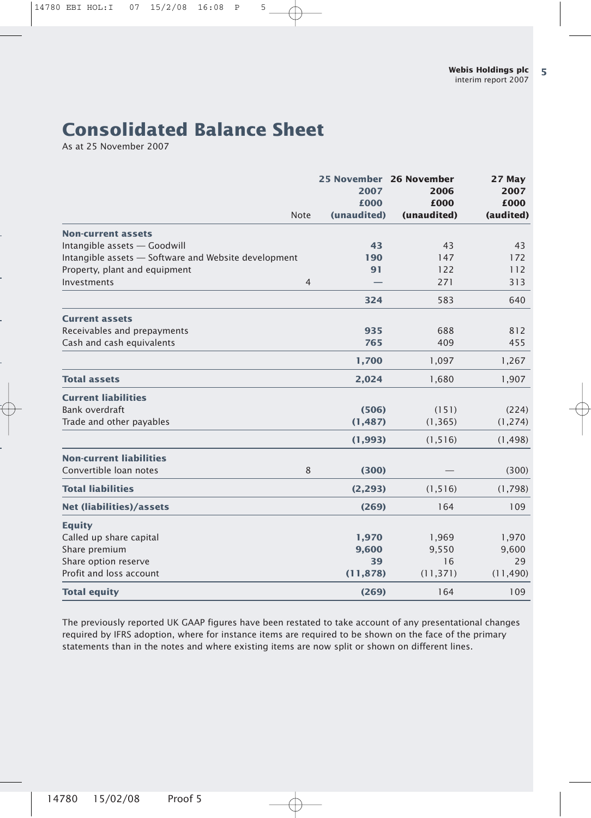# **Consolidated Balance Sheet**

for the 26 weeks ended 26 November 2006 As at 25 November 2007

|                                                      |                | 25 November 26 November |             | 27 May    |
|------------------------------------------------------|----------------|-------------------------|-------------|-----------|
|                                                      |                | 2007                    | 2006        | 2007      |
|                                                      |                | £000                    | £000        | £000      |
|                                                      | <b>Note</b>    | (unaudited)             | (unaudited) | (audited) |
| <b>Non-current assets</b>                            |                |                         |             |           |
| Intangible assets - Goodwill                         |                | 43                      | 43          | 43        |
| Intangible assets - Software and Website development |                | 190                     | 147         | 172       |
| Property, plant and equipment                        |                | 91                      | 122         | 112       |
| Investments                                          | $\overline{4}$ |                         | 271         | 313       |
|                                                      |                | 324                     | 583         | 640       |
| <b>Current assets</b>                                |                |                         |             |           |
| Receivables and prepayments                          |                | 935                     | 688         | 812       |
| Cash and cash equivalents                            |                | 765                     | 409         | 455       |
|                                                      |                | 1,700                   | 1,097       | 1,267     |
| <b>Total assets</b>                                  |                | 2,024                   | 1,680       | 1,907     |
| <b>Current liabilities</b>                           |                |                         |             |           |
| Bank overdraft                                       |                | (506)                   | (151)       | (224)     |
| Trade and other payables                             |                | (1, 487)                | (1, 365)    | (1, 274)  |
|                                                      |                | (1,993)                 | (1, 516)    | (1, 498)  |
| <b>Non-current liabilities</b>                       |                |                         |             |           |
| Convertible loan notes                               | 8              | (300)                   |             | (300)     |
| <b>Total liabilities</b>                             |                | (2, 293)                | (1, 516)    | (1,798)   |
| <b>Net (liabilities)/assets</b>                      |                | (269)                   | 164         | 109       |
| <b>Equity</b>                                        |                |                         |             |           |
| Called up share capital                              |                | 1,970                   | 1,969       | 1,970     |
| Share premium                                        |                | 9,600                   | 9,550       | 9,600     |
| Share option reserve                                 |                | 39                      | 16          | 29        |
| Profit and loss account                              |                | (11, 878)               | (11, 371)   | (11, 490) |
| <b>Total equity</b>                                  |                | (269)                   | 164         | 109       |

The previously reported UK GAAP figures have been restated to take account of any presentational changes required by IFRS adoption, where for instance items are required to be shown on the face of the primary statements than in the notes and where existing items are now split or shown on different lines.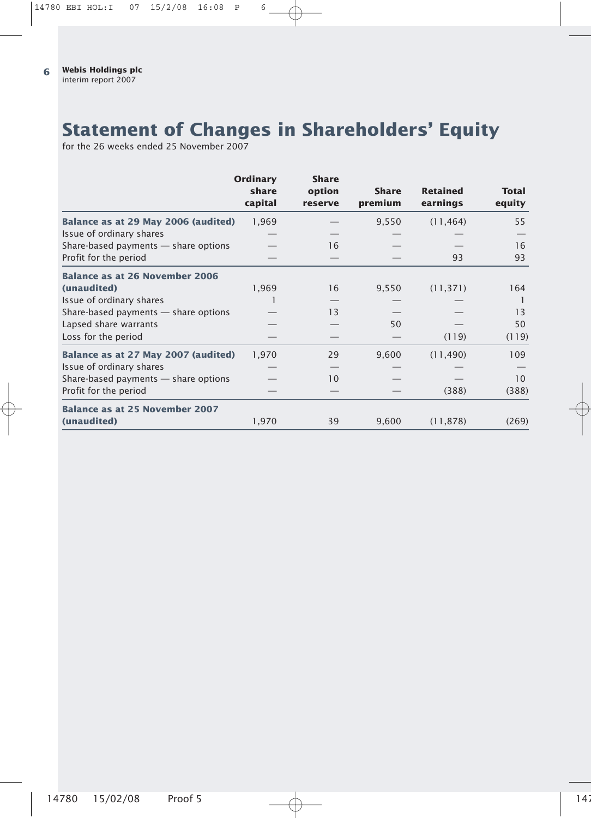# **Statement of Changes in Shareholders' Equity**

for the 26 weeks ended 25 November 2007

|                                       | Ordinary<br>share<br>capital | <b>Share</b><br>option<br>reserve | <b>Share</b><br>premium | <b>Retained</b><br>earnings | <b>Total</b><br>equity |
|---------------------------------------|------------------------------|-----------------------------------|-------------------------|-----------------------------|------------------------|
| Balance as at 29 May 2006 (audited)   | 1,969                        |                                   | 9,550                   | (11, 464)                   | 55                     |
| Issue of ordinary shares              |                              |                                   |                         |                             |                        |
| Share-based payments — share options  |                              | 16                                |                         |                             | 16                     |
| Profit for the period                 |                              |                                   |                         | 93                          | 93                     |
| <b>Balance as at 26 November 2006</b> |                              |                                   |                         |                             |                        |
| (unaudited)                           | 1,969                        | 16                                | 9,550                   | (11, 371)                   | 164                    |
| Issue of ordinary shares              |                              |                                   |                         |                             |                        |
| Share-based payments — share options  |                              | 13                                |                         |                             | 13                     |
| Lapsed share warrants                 |                              |                                   | 50                      |                             | 50                     |
| Loss for the period                   |                              |                                   |                         | (119)                       | (119)                  |
| Balance as at 27 May 2007 (audited)   | 1,970                        | 29                                | 9,600                   | (11, 490)                   | 109                    |
| Issue of ordinary shares              |                              |                                   |                         |                             |                        |
| Share-based payments – share options  |                              | 10                                |                         |                             | 10 <sup>°</sup>        |
| Profit for the period                 |                              |                                   |                         | (388)                       | (388)                  |
| <b>Balance as at 25 November 2007</b> |                              |                                   |                         |                             |                        |
| (unaudited)                           | 1,970                        | 39                                | 9,600                   | (11, 878)                   | (269)                  |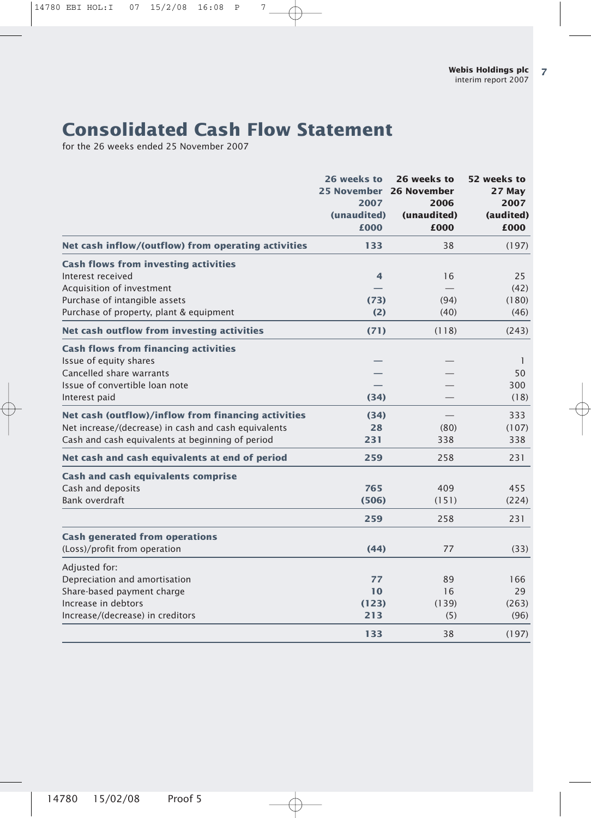# **Consolidated Cash Flow Statement**

for the 26 weeks ended 25 November 2007

|                                                      | 26 weeks to<br>25 November 26 November<br>2007<br>(unaudited)<br>£000 | 26 weeks to<br>2006<br>(unaudited)<br>£000 | 52 weeks to<br>27 May<br>2007<br>(audited)<br>£000 |
|------------------------------------------------------|-----------------------------------------------------------------------|--------------------------------------------|----------------------------------------------------|
| Net cash inflow/(outflow) from operating activities  | 133                                                                   | 38                                         | (197)                                              |
| <b>Cash flows from investing activities</b>          |                                                                       |                                            |                                                    |
| Interest received                                    | 4                                                                     | 16                                         | 25                                                 |
| Acquisition of investment                            |                                                                       |                                            | (42)                                               |
| Purchase of intangible assets                        | (73)                                                                  | (94)                                       | (180)                                              |
| Purchase of property, plant & equipment              | (2)                                                                   | (40)                                       | (46)                                               |
| Net cash outflow from investing activities           | (71)                                                                  | (118)                                      | (243)                                              |
| <b>Cash flows from financing activities</b>          |                                                                       |                                            |                                                    |
| Issue of equity shares                               |                                                                       |                                            | 1                                                  |
| Cancelled share warrants                             |                                                                       |                                            | 50                                                 |
| Issue of convertible loan note                       |                                                                       |                                            | 300                                                |
| Interest paid                                        | (34)                                                                  |                                            | (18)                                               |
| Net cash (outflow)/inflow from financing activities  | (34)                                                                  |                                            | 333                                                |
| Net increase/(decrease) in cash and cash equivalents | 28                                                                    | (80)                                       | (107)                                              |
| Cash and cash equivalents at beginning of period     | 231                                                                   | 338                                        | 338                                                |
| Net cash and cash equivalents at end of period       | 259                                                                   | 258                                        | 231                                                |
| <b>Cash and cash equivalents comprise</b>            |                                                                       |                                            |                                                    |
| Cash and deposits                                    | 765                                                                   | 409                                        | 455                                                |
| <b>Bank overdraft</b>                                | (506)                                                                 | (151)                                      | (224)                                              |
|                                                      | 259                                                                   | 258                                        | 231                                                |
| <b>Cash generated from operations</b>                |                                                                       |                                            |                                                    |
| (Loss)/profit from operation                         | (44)                                                                  | 77                                         | (33)                                               |
| Adjusted for:                                        |                                                                       |                                            |                                                    |
| Depreciation and amortisation                        | 77                                                                    | 89                                         | 166                                                |
| Share-based payment charge                           | 10                                                                    | 16                                         | 29                                                 |
| Increase in debtors                                  | (123)                                                                 | (139)                                      | (263)                                              |
| Increase/(decrease) in creditors                     | 213                                                                   | (5)                                        | (96)                                               |
|                                                      | 133                                                                   | 38                                         | (197)                                              |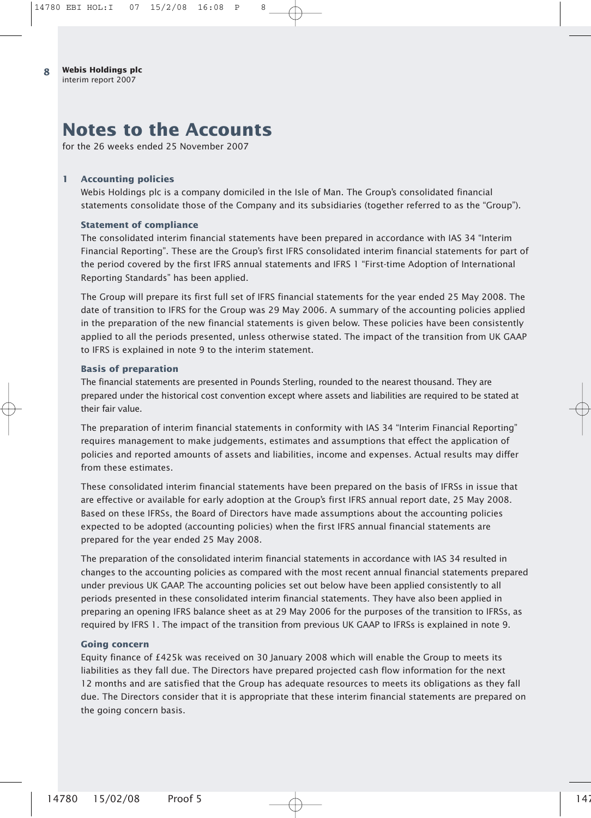# **Notes to the Accounts**

for the 26 weeks ended 25 November 2007

#### **1 Accounting policies**

Webis Holdings plc is a company domiciled in the Isle of Man. The Group's consolidated financial statements consolidate those of the Company and its subsidiaries (together referred to as the "Group").

#### **Statement of compliance**

The consolidated interim financial statements have been prepared in accordance with IAS 34 "Interim Financial Reporting". These are the Group's first IFRS consolidated interim financial statements for part of the period covered by the first IFRS annual statements and IFRS 1 "First-time Adoption of International Reporting Standards" has been applied.

The Group will prepare its first full set of IFRS financial statements for the year ended 25 May 2008. The date of transition to IFRS for the Group was 29 May 2006. A summary of the accounting policies applied in the preparation of the new financial statements is given below. These policies have been consistently applied to all the periods presented, unless otherwise stated. The impact of the transition from UK GAAP to IFRS is explained in note 9 to the interim statement.

#### **Basis of preparation**

The financial statements are presented in Pounds Sterling, rounded to the nearest thousand. They are prepared under the historical cost convention except where assets and liabilities are required to be stated at their fair value.

The preparation of interim financial statements in conformity with IAS 34 "Interim Financial Reporting" requires management to make judgements, estimates and assumptions that effect the application of policies and reported amounts of assets and liabilities, income and expenses. Actual results may differ from these estimates.

These consolidated interim financial statements have been prepared on the basis of IFRSs in issue that are effective or available for early adoption at the Group's first IFRS annual report date, 25 May 2008. Based on these IFRSs, the Board of Directors have made assumptions about the accounting policies expected to be adopted (accounting policies) when the first IFRS annual financial statements are prepared for the year ended 25 May 2008.

The preparation of the consolidated interim financial statements in accordance with IAS 34 resulted in changes to the accounting policies as compared with the most recent annual financial statements prepared under previous UK GAAP. The accounting policies set out below have been applied consistently to all periods presented in these consolidated interim financial statements. They have also been applied in preparing an opening IFRS balance sheet as at 29 May 2006 for the purposes of the transition to IFRSs, as required by IFRS 1. The impact of the transition from previous UK GAAP to IFRSs is explained in note 9.

#### **Going concern**

Equity finance of £425k was received on 30 January 2008 which will enable the Group to meets its liabilities as they fall due. The Directors have prepared projected cash flow information for the next 12 months and are satisfied that the Group has adequate resources to meets its obligations as they fall due. The Directors consider that it is appropriate that these interim financial statements are prepared on the going concern basis.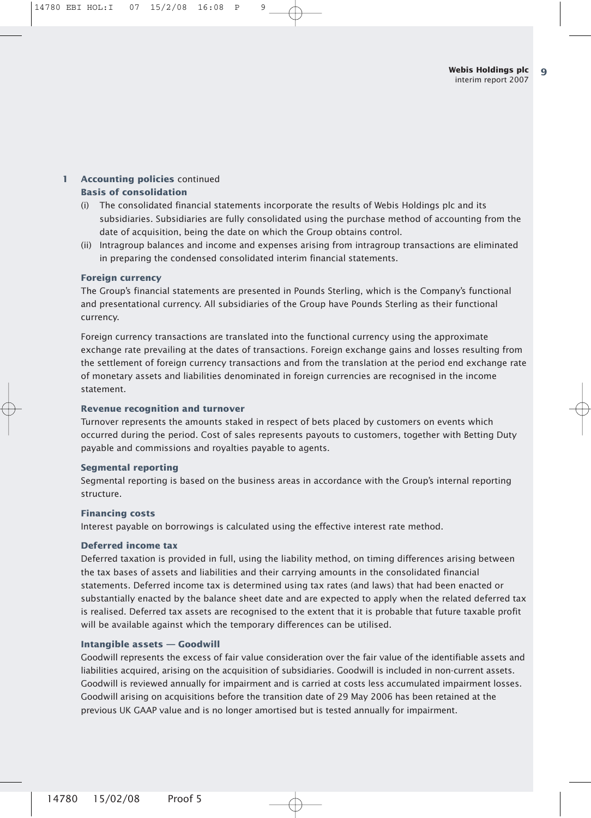### **1 Accounting policies** continued **Basis of consolidation**

- (i) The consolidated financial statements incorporate the results of Webis Holdings plc and its subsidiaries. Subsidiaries are fully consolidated using the purchase method of accounting from the date of acquisition, being the date on which the Group obtains control.
- (ii) Intragroup balances and income and expenses arising from intragroup transactions are eliminated in preparing the condensed consolidated interim financial statements.

### **Foreign currency**

The Group's financial statements are presented in Pounds Sterling, which is the Company's functional and presentational currency. All subsidiaries of the Group have Pounds Sterling as their functional currency.

Foreign currency transactions are translated into the functional currency using the approximate exchange rate prevailing at the dates of transactions. Foreign exchange gains and losses resulting from the settlement of foreign currency transactions and from the translation at the period end exchange rate of monetary assets and liabilities denominated in foreign currencies are recognised in the income statement.

### **Revenue recognition and turnover**

Turnover represents the amounts staked in respect of bets placed by customers on events which occurred during the period. Cost of sales represents payouts to customers, together with Betting Duty payable and commissions and royalties payable to agents.

### **Segmental reporting**

Segmental reporting is based on the business areas in accordance with the Group's internal reporting structure.

#### **Financing costs**

Interest payable on borrowings is calculated using the effective interest rate method.

### **Deferred income tax**

Deferred taxation is provided in full, using the liability method, on timing differences arising between the tax bases of assets and liabilities and their carrying amounts in the consolidated financial statements. Deferred income tax is determined using tax rates (and laws) that had been enacted or substantially enacted by the balance sheet date and are expected to apply when the related deferred tax is realised. Deferred tax assets are recognised to the extent that it is probable that future taxable profit will be available against which the temporary differences can be utilised.

### **Intangible assets — Goodwill**

Goodwill represents the excess of fair value consideration over the fair value of the identifiable assets and liabilities acquired, arising on the acquisition of subsidiaries. Goodwill is included in non-current assets. Goodwill is reviewed annually for impairment and is carried at costs less accumulated impairment losses. Goodwill arising on acquisitions before the transition date of 29 May 2006 has been retained at the previous UK GAAP value and is no longer amortised but is tested annually for impairment.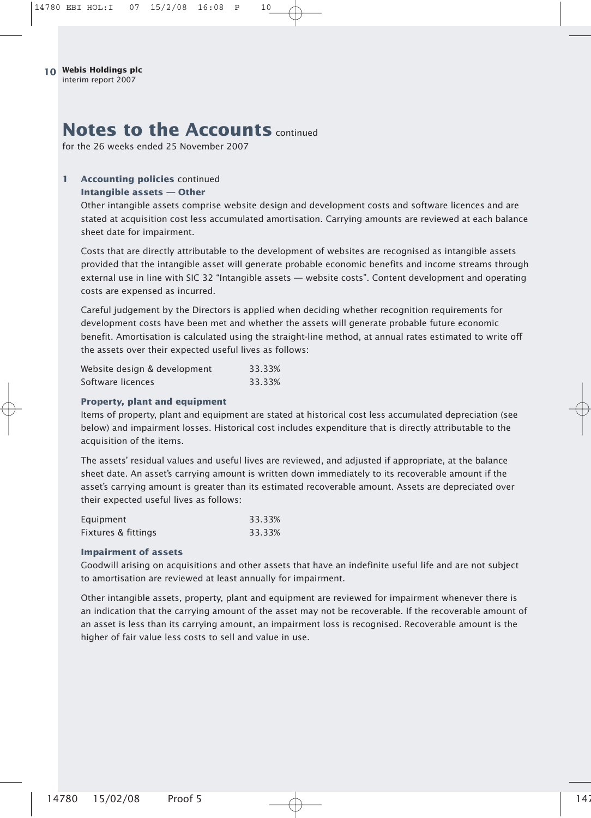# **Notes to the Accounts** continued

for the 26 weeks ended 25 November 2007

### **1 Accounting policies** continued

**Intangible assets — Other**

Other intangible assets comprise website design and development costs and software licences and are stated at acquisition cost less accumulated amortisation. Carrying amounts are reviewed at each balance sheet date for impairment.

Costs that are directly attributable to the development of websites are recognised as intangible assets provided that the intangible asset will generate probable economic benefits and income streams through external use in line with SIC 32 "Intangible assets — website costs". Content development and operating costs are expensed as incurred.

Careful judgement by the Directors is applied when deciding whether recognition requirements for development costs have been met and whether the assets will generate probable future economic benefit. Amortisation is calculated using the straight-line method, at annual rates estimated to write off the assets over their expected useful lives as follows:

| Website design & development | 33.33% |
|------------------------------|--------|
| Software licences            | 33.33% |

#### **Property, plant and equipment**

Items of property, plant and equipment are stated at historical cost less accumulated depreciation (see below) and impairment losses. Historical cost includes expenditure that is directly attributable to the acquisition of the items.

The assets' residual values and useful lives are reviewed, and adjusted if appropriate, at the balance sheet date. An asset's carrying amount is written down immediately to its recoverable amount if the asset's carrying amount is greater than its estimated recoverable amount. Assets are depreciated over their expected useful lives as follows:

| Equipment           | 33.33% |
|---------------------|--------|
| Fixtures & fittings | 33.33% |

#### **Impairment of assets**

Goodwill arising on acquisitions and other assets that have an indefinite useful life and are not subject to amortisation are reviewed at least annually for impairment.

Other intangible assets, property, plant and equipment are reviewed for impairment whenever there is an indication that the carrying amount of the asset may not be recoverable. If the recoverable amount of an asset is less than its carrying amount, an impairment loss is recognised. Recoverable amount is the higher of fair value less costs to sell and value in use.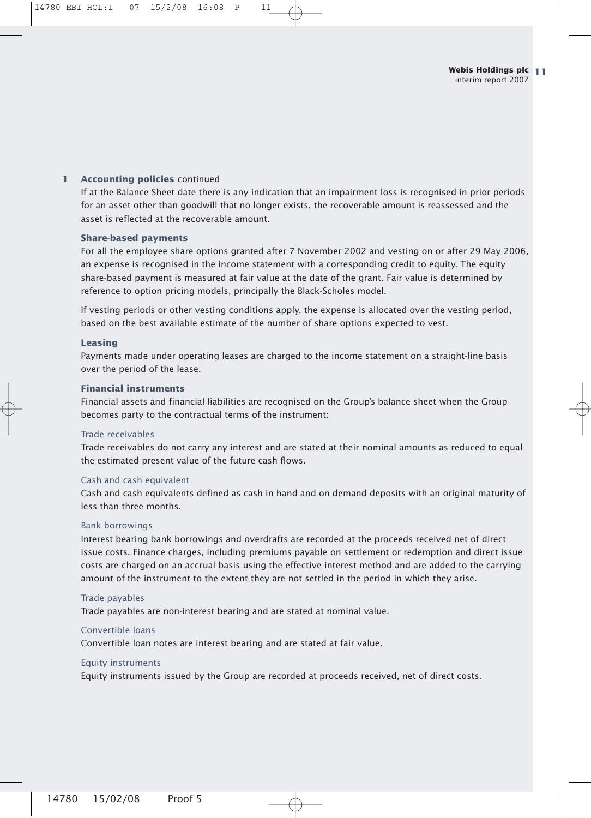#### **1 Accounting policies** continued

If at the Balance Sheet date there is any indication that an impairment loss is recognised in prior periods for an asset other than goodwill that no longer exists, the recoverable amount is reassessed and the asset is reflected at the recoverable amount.

#### **Share-based payments**

For all the employee share options granted after 7 November 2002 and vesting on or after 29 May 2006, an expense is recognised in the income statement with a corresponding credit to equity. The equity share-based payment is measured at fair value at the date of the grant. Fair value is determined by reference to option pricing models, principally the Black-Scholes model.

If vesting periods or other vesting conditions apply, the expense is allocated over the vesting period, based on the best available estimate of the number of share options expected to vest.

#### **Leasing**

Payments made under operating leases are charged to the income statement on a straight-line basis over the period of the lease.

#### **Financial instruments**

Financial assets and financial liabilities are recognised on the Group's balance sheet when the Group becomes party to the contractual terms of the instrument:

#### Trade receivables

Trade receivables do not carry any interest and are stated at their nominal amounts as reduced to equal the estimated present value of the future cash flows.

#### Cash and cash equivalent

Cash and cash equivalents defined as cash in hand and on demand deposits with an original maturity of less than three months.

#### Bank borrowings

Interest bearing bank borrowings and overdrafts are recorded at the proceeds received net of direct issue costs. Finance charges, including premiums payable on settlement or redemption and direct issue costs are charged on an accrual basis using the effective interest method and are added to the carrying amount of the instrument to the extent they are not settled in the period in which they arise.

#### Trade payables

Trade payables are non-interest bearing and are stated at nominal value.

#### Convertible loans

Convertible loan notes are interest bearing and are stated at fair value.

#### Equity instruments

Equity instruments issued by the Group are recorded at proceeds received, net of direct costs.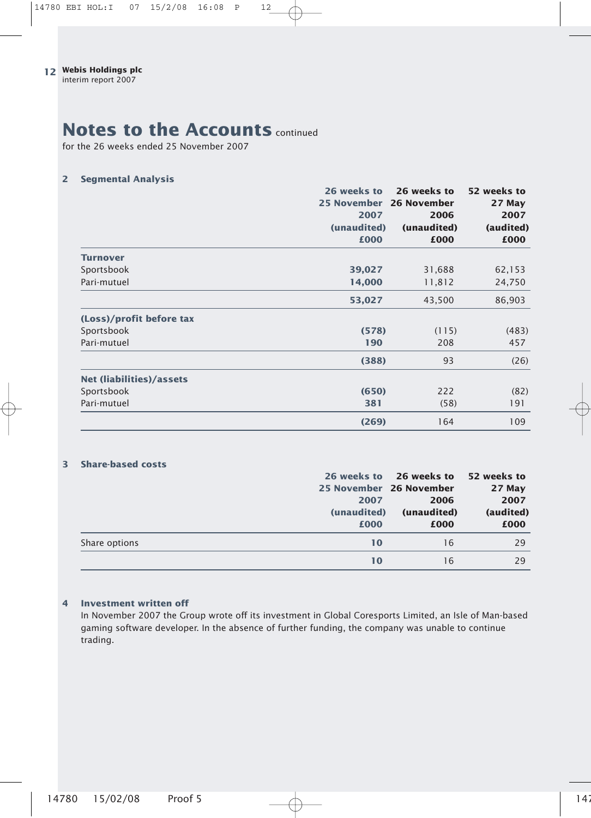# **Notes to the Accounts continued**

for the 26 weeks ended 25 November 2007

### **2 Segmental Analysis**

|                                 | 26 weeks to<br><b>25 November</b><br>2007<br>(unaudited)<br>£000 | 26 weeks to<br><b>26 November</b><br>2006<br>(unaudited)<br>£000 | 52 weeks to<br>27 May<br>2007<br>(audited)<br>£000 |
|---------------------------------|------------------------------------------------------------------|------------------------------------------------------------------|----------------------------------------------------|
| <b>Turnover</b>                 |                                                                  |                                                                  |                                                    |
| Sportsbook                      | 39,027                                                           | 31,688                                                           | 62,153                                             |
| Pari-mutuel                     | 14,000                                                           | 11,812                                                           | 24,750                                             |
|                                 | 53,027                                                           | 43,500                                                           | 86,903                                             |
| (Loss)/profit before tax        |                                                                  |                                                                  |                                                    |
| Sportsbook                      | (578)                                                            | (115)                                                            | (483)                                              |
| Pari-mutuel                     | 190                                                              | 208                                                              | 457                                                |
|                                 | (388)                                                            | 93                                                               | (26)                                               |
| <b>Net (liabilities)/assets</b> |                                                                  |                                                                  |                                                    |
| Sportsbook                      | (650)                                                            | 222                                                              | (82)                                               |
| Pari-mutuel                     | 381                                                              | (58)                                                             | 191                                                |
|                                 | (269)                                                            | 164                                                              | 109                                                |

#### **3 Share-based costs**

|               | 26 weeks to             | 26 weeks to | 52 weeks to |
|---------------|-------------------------|-------------|-------------|
|               | 25 November 26 November |             | 27 May      |
|               | 2007                    | 2006        | 2007        |
|               | (unaudited)             | (unaudited) | (audited)   |
|               | £000                    | £000        | £000        |
| Share options | 10                      | 16          | 29          |
|               | 10                      | 16          | 29          |

#### **4 Investment written off**

In November 2007 the Group wrote off its investment in Global Coresports Limited, an Isle of Man-based gaming software developer. In the absence of further funding, the company was unable to continue trading.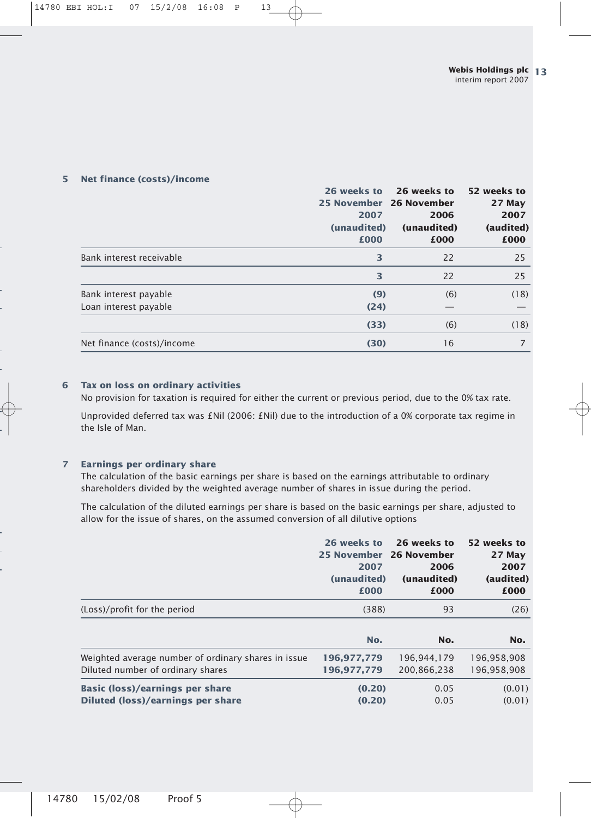#### **5 Net finance (costs)/income**

|                                                | 26 weeks to<br>25 November 26 November<br>2007<br>(unaudited)<br>£000 | 26 weeks to<br>2006<br>(unaudited)<br>£000 | 52 weeks to<br>27 May<br>2007<br>(audited)<br>£000 |
|------------------------------------------------|-----------------------------------------------------------------------|--------------------------------------------|----------------------------------------------------|
| Bank interest receivable                       | 3                                                                     | 22                                         | 25                                                 |
|                                                | 3                                                                     | 22                                         | 25                                                 |
| Bank interest payable<br>Loan interest payable | (9)<br>(24)                                                           | (6)                                        | (18)                                               |
|                                                | (33)                                                                  | (6)                                        | (18)                                               |
| Net finance (costs)/income                     | (30)                                                                  | 16                                         |                                                    |

#### **6 Tax on loss on ordinary activities**

No provision for taxation is required for either the current or previous period, due to the 0% tax rate.

Unprovided deferred tax was £Nil (2006: £Nil) due to the introduction of a 0% corporate tax regime in the Isle of Man.

#### **7 Earnings per ordinary share**

The calculation of the basic earnings per share is based on the earnings attributable to ordinary shareholders divided by the weighted average number of shares in issue during the period.

The calculation of the diluted earnings per share is based on the basic earnings per share, adjusted to allow for the issue of shares, on the assumed conversion of all dilutive options

|                                                     | 26 weeks to | 26 weeks to        | 52 weeks to |
|-----------------------------------------------------|-------------|--------------------|-------------|
|                                                     | 25 November | <b>26 November</b> | 27 May      |
|                                                     | 2007        | 2006               | 2007        |
|                                                     | (unaudited) | (unaudited)        | (audited)   |
|                                                     | £000        | £000               | £000        |
| (Loss)/profit for the period                        | (388)       | 93                 | (26)        |
|                                                     | No.         | No.                | No.         |
| Weighted average number of ordinary shares in issue | 196,977,779 | 196.944.179        | 196.958.908 |
| Diluted number of ordinary shares                   | 196,977,779 | 200,866,238        | 196,958,908 |
| <b>Basic (loss)/earnings per share</b>              | (0.20)      | 0.05               | (0.01)      |
| <b>Diluted (loss)/earnings per share</b>            | (0.20)      | 0.05               | (0.01)      |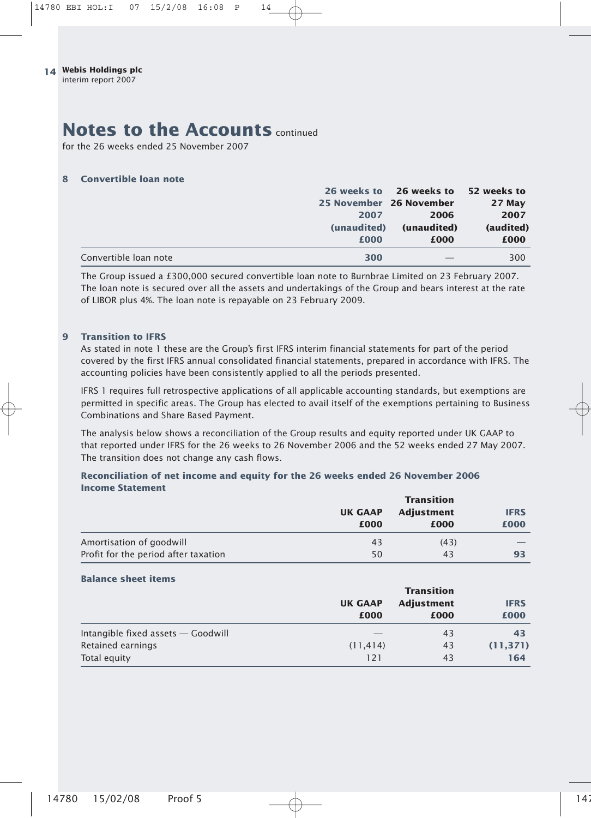# **Notes to the Accounts** continued

for the 26 weeks ended 25 November 2007

#### **8 Convertible loan note**

|                       | 26 weeks to             | 26 weeks to | 52 weeks to |
|-----------------------|-------------------------|-------------|-------------|
|                       | 25 November 26 November |             | 27 May      |
|                       | 2007                    | 2006        | 2007        |
|                       | (unaudited)             | (unaudited) | (audited)   |
|                       | £000                    | £000        | £000        |
| Convertible loan note | 300                     |             | 300         |

The Group issued a £300,000 secured convertible loan note to Burnbrae Limited on 23 February 2007. The loan note is secured over all the assets and undertakings of the Group and bears interest at the rate of LIBOR plus 4%. The loan note is repayable on 23 February 2009.

#### **9 Transition to IFRS**

As stated in note 1 these are the Group's first IFRS interim financial statements for part of the period covered by the first IFRS annual consolidated financial statements, prepared in accordance with IFRS. The accounting policies have been consistently applied to all the periods presented.

IFRS 1 requires full retrospective applications of all applicable accounting standards, but exemptions are permitted in specific areas. The Group has elected to avail itself of the exemptions pertaining to Business Combinations and Share Based Payment.

The analysis below shows a reconciliation of the Group results and equity reported under UK GAAP to that reported under IFRS for the 26 weeks to 26 November 2006 and the 52 weeks ended 27 May 2007. The transition does not change any cash flows.

#### **Reconciliation of net income and equity for the 26 weeks ended 26 November 2006 Income Statement**

|                                      | Transition     |            |             |
|--------------------------------------|----------------|------------|-------------|
|                                      | <b>UK GAAP</b> | Adjustment | <b>IFRS</b> |
|                                      | £000           | £000       | £000        |
| Amortisation of goodwill             | 43             | (43)       |             |
| Profit for the period after taxation | 50             | 43         | 93          |

#### **Balance sheet items**

|                                    | <b>UK GAAP</b> | Transition<br>Adjustment | <b>IFRS</b> |
|------------------------------------|----------------|--------------------------|-------------|
|                                    | £000           | £000                     | £000        |
| Intangible fixed assets — Goodwill |                | 43                       | 43          |
| Retained earnings                  | (11, 414)      | 43                       | (11, 371)   |
| Total equity                       | 121            | 43                       | 164         |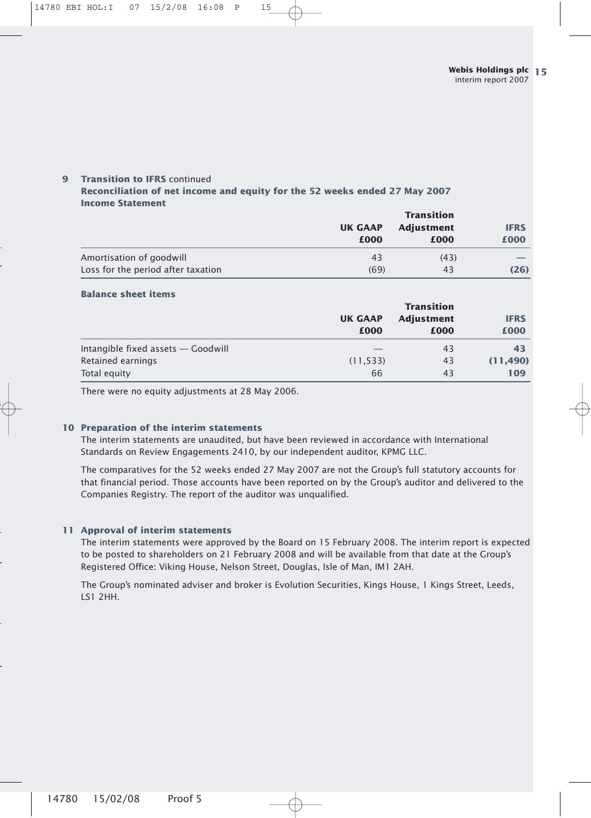#### **9 Transition to IFRS** continued

**Reconciliation of net income and equity for the 52 weeks ended 27 May 2007 Income Statement**

|                                    | <b>Transition</b>      |                    |                     |
|------------------------------------|------------------------|--------------------|---------------------|
|                                    | <b>UK GAAP</b><br>£000 | Adjustment<br>£000 | <b>IFRS</b><br>£000 |
| Amortisation of goodwill           | 43                     | (43)               |                     |
| Loss for the period after taxation | (69)                   | 43                 | (26)                |

#### **Balance sheet items**

|                                    | <b>UK GAAP</b> | <b>Adjustment</b> | <b>IFRS</b> |
|------------------------------------|----------------|-------------------|-------------|
|                                    | £000           | £000              | £000        |
| Intangible fixed assets — Goodwill |                | 43                | 43          |
| Retained earnings                  | (11, 533)      | 43                | (11, 490)   |
| Total equity                       | 66             | 43                | 109         |

There were no equity adjustments at 28 May 2006.

### **10 Preparation of the interim statements**

The interim statements are unaudited, but have been reviewed in accordance with International Standards on Review Engagements 2410, by our independent auditor, KPMG LLC.

The comparatives for the 52 weeks ended 27 May 2007 are not the Group's full statutory accounts for that financial period. Those accounts have been reported on by the Group's auditor and delivered to the Companies Registry. The report of the auditor was unqualified.

#### **11 Approval of interim statements**

The interim statements were approved by the Board on 15 February 2008. The interim report is expected to be posted to shareholders on 21 February 2008 and will be available from that date at the Group's Registered Office: Viking House, Nelson Street, Douglas, Isle of Man, IM1 2AH.

The Group's nominated adviser and broker is Evolution Securities, Kings House, 1 Kings Street, Leeds, LS1 2HH.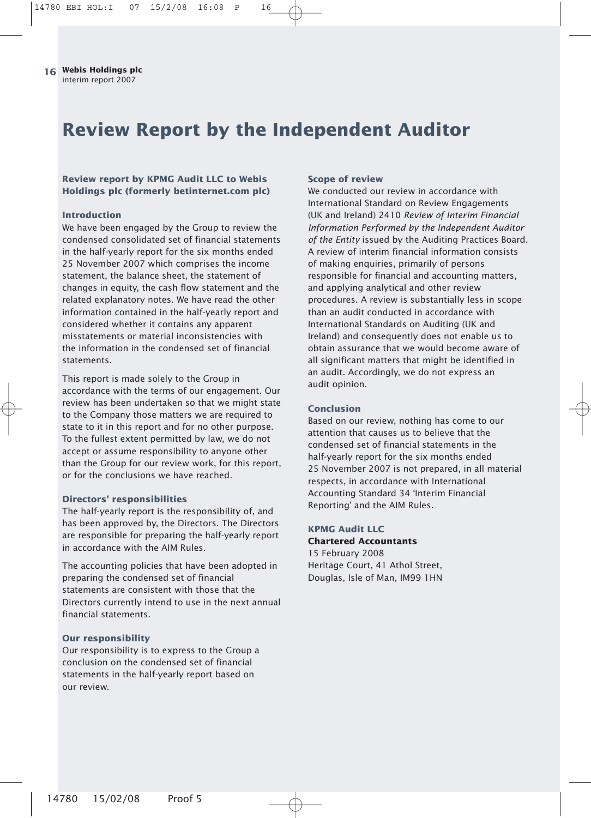# **Review Report by the Independent Auditor**

#### **Review report by KPMG Audit LLC to Webis Holdings plc (formerly betinternet.com plc)**

#### **Introduction**

We have been engaged by the Group to review the condensed consolidated set of financial statements in the half-yearly report for the six months ended 25 November 2007 which comprises the income statement, the balance sheet, the statement of changes in equity, the cash flow statement and the related explanatory notes. We have read the other information contained in the half-yearly report and considered whether it contains any apparent misstatements or material inconsistencies with the information in the condensed set of financial statements.

This report is made solely to the Group in accordance with the terms of our engagement. Our review has been undertaken so that we might state to the Company those matters we are required to state to it in this report and for no other purpose. To the fullest extent permitted by law, we do not accept or assume responsibility to anyone other than the Group for our review work, for this report, or for the conclusions we have reached.

#### **Directors' responsibilities**

The half-yearly report is the responsibility of, and has been approved by, the Directors. The Directors are responsible for preparing the half-yearly report in accordance with the AIM Rules.

The accounting policies that have been adopted in preparing the condensed set of financial statements are consistent with those that the Directors currently intend to use in the next annual financial statements.

#### **Our responsibility**

Our responsibility is to express to the Group a conclusion on the condensed set of financial statements in the half-yearly report based on our review.

#### **Scope of review**

We conducted our review in accordance with International Standard on Review Engagements (UK and Ireland) 2410 *Review of Interim Financial Information Performed by the Independent Auditor of the Entity* issued by the Auditing Practices Board. A review of interim financial information consists of making enquiries, primarily of persons responsible for financial and accounting matters, and applying analytical and other review procedures. A review is substantially less in scope than an audit conducted in accordance with International Standards on Auditing (UK and Ireland) and consequently does not enable us to obtain assurance that we would become aware of all significant matters that might be identified in an audit. Accordingly, we do not express an audit opinion.

#### **Conclusion**

Based on our review, nothing has come to our attention that causes us to believe that the condensed set of financial statements in the half-yearly report for the six months ended 25 November 2007 is not prepared, in all material respects, in accordance with International Accounting Standard 34 'Interim Financial Reporting' and the AIM Rules.

### **KPMG Audit LLC Chartered Accountants**

15 February 2008 Heritage Court, 41 Athol Street, Douglas, Isle of Man, IM99 1HN